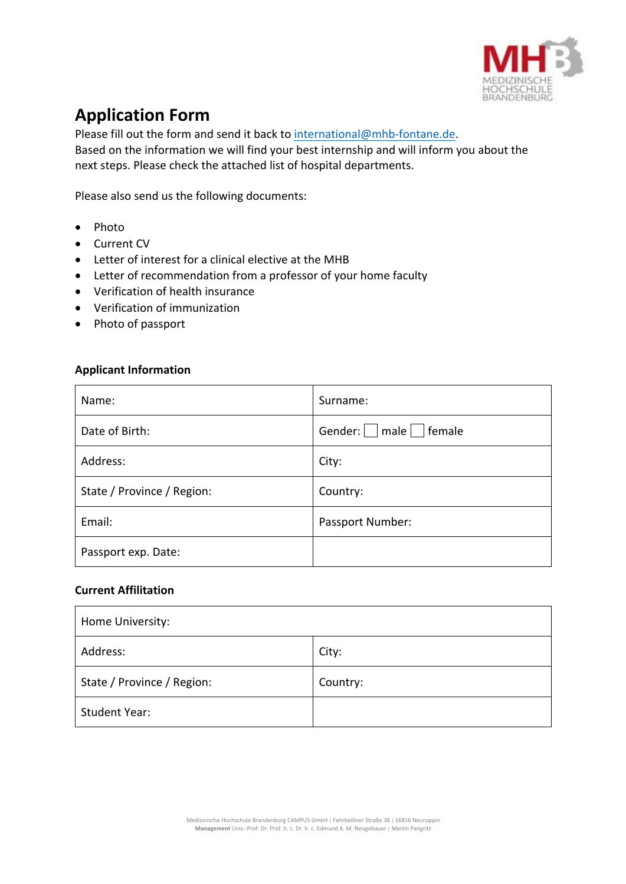

## **Application Form**

Please fill out the form and send it back to international@mhb-fontane.de. Based on the information we will find your best internship and will inform you about the next steps. Please check the attached list of hospital departments.

Please also send us the following documents:

- Photo
- Current CV
- Letter of interest for a clinical elective at the MHB
- Letter of recommendation from a professor of your home faculty
- Verification of health insurance
- Verification of immunization
- Photo of passport

## **Applicant Information**

| Name:                      | Surname:                |
|----------------------------|-------------------------|
| Date of Birth:             | Gender:   male   female |
| Address:                   | City:                   |
| State / Province / Region: | Country:                |
| Email:                     | Passport Number:        |
| Passport exp. Date:        |                         |

## **Current Affilitation**

| Home University:           |          |  |
|----------------------------|----------|--|
| Address:                   | City:    |  |
| State / Province / Region: | Country: |  |
| <b>Student Year:</b>       |          |  |